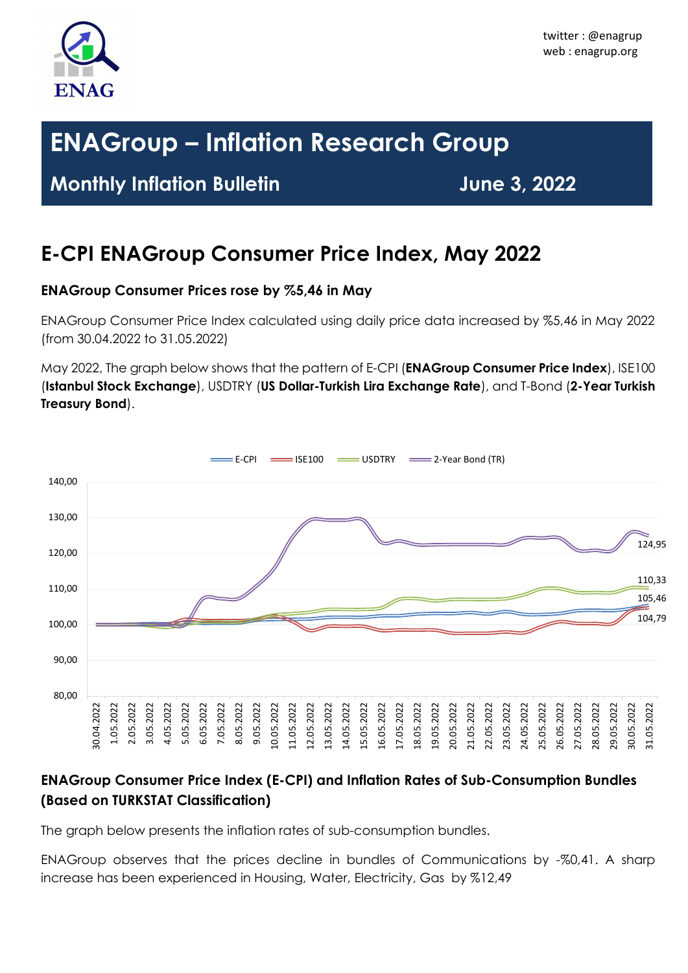

# **ENAGroup – Inflation Research Group**

### **Monthly Inflation Bulletin June 3, 2022**

## **E-CPI ENAGroup Consumer Price Index, May 2022**

#### **ENAGroup Consumer Prices rose by %5,46 in May**

ENAGroup Consumer Price Index calculated using daily price data increased by %5,46 in May 2022 (from 30.04.2022 to 31.05.2022)

May 2022, The graph below shows that the pattern of E-CPI (**ENAGroup Consumer Price Index**), ISE100 (**Istanbul Stock Exchange**), USDTRY (**US Dollar-Turkish Lira Exchange Rate**), and T-Bond (**2-Year Turkish Treasury Bond**).



#### **ENAGroup Consumer Price Index (E-CPI) and Inflation Rates of Sub-Consumption Bundles (Based on TURKSTAT Classification)**

The graph below presents the inflation rates of sub-consumption bundles.

ENAGroup observes that the prices decline in bundles of Communications by -%0,41. A sharp increase has been experienced in Housing, Water, Electricity, Gas by %12,49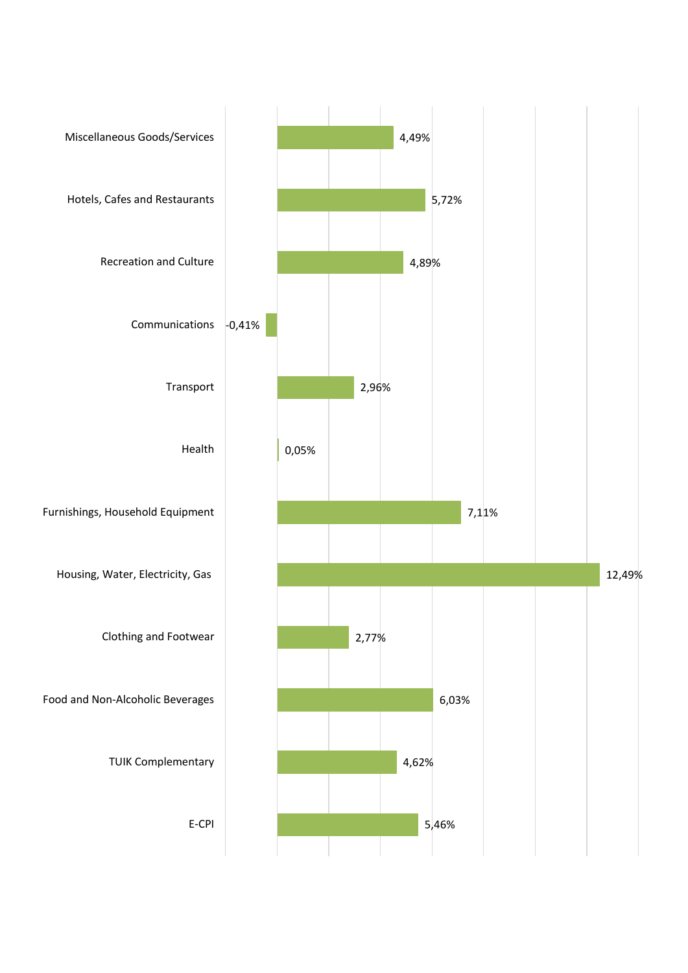